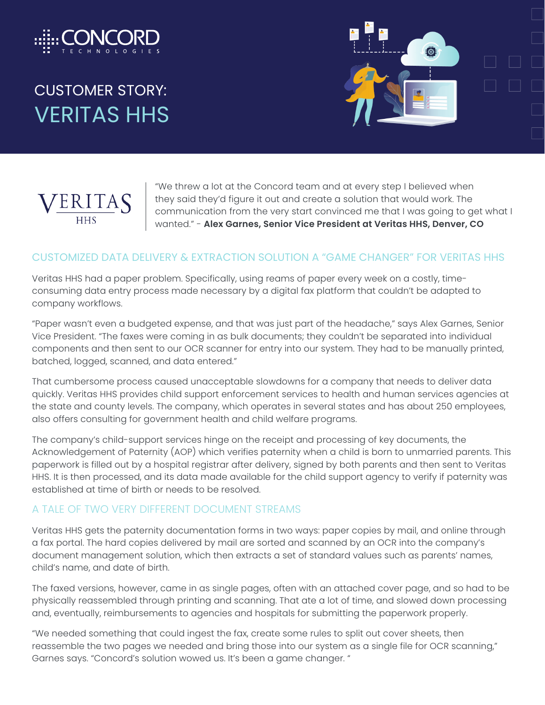

# CUSTOMER STORY: VERITAS HHS





"We threw a lot at the Concord team and at every step I believed when they said they'd figure it out and create a solution that would work. The communication from the very start convinced me that I was going to get what I wanted." - **Alex Garnes, Senior Vice President at Veritas HHS, Denver, CO**

#### CUSTOMIZED DATA DELIVERY & EXTRACTION SOLUTION A "GAME CHANGER" FOR VERITAS HHS

Veritas HHS had a paper problem. Specifically, using reams of paper every week on a costly, timeconsuming data entry process made necessary by a digital fax platform that couldn't be adapted to company workflows.

"Paper wasn't even a budgeted expense, and that was just part of the headache," says Alex Garnes, Senior Vice President. "The faxes were coming in as bulk documents; they couldn't be separated into individual components and then sent to our OCR scanner for entry into our system. They had to be manually printed, batched, logged, scanned, and data entered."

That cumbersome process caused unacceptable slowdowns for a company that needs to deliver data quickly. Veritas HHS provides child support enforcement services to health and human services agencies at the state and county levels. The company, which operates in several states and has about 250 employees, also offers consulting for government health and child welfare programs.

The company's child-support services hinge on the receipt and processing of key documents, the Acknowledgement of Paternity (AOP) which verifies paternity when a child is born to unmarried parents. This paperwork is filled out by a hospital registrar after delivery, signed by both parents and then sent to Veritas HHS. It is then processed, and its data made available for the child support agency to verify if paternity was established at time of birth or needs to be resolved.

#### A TALE OF TWO VERY DIFFERENT DOCUMENT STREAMS

Veritas HHS gets the paternity documentation forms in two ways: paper copies by mail, and online through a fax portal. The hard copies delivered by mail are sorted and scanned by an OCR into the company's document management solution, which then extracts a set of standard values such as parents' names, child's name, and date of birth.

The faxed versions, however, came in as single pages, often with an attached cover page, and so had to be physically reassembled through printing and scanning. That ate a lot of time, and slowed down processing and, eventually, reimbursements to agencies and hospitals for submitting the paperwork properly.

"We needed something that could ingest the fax, create some rules to split out cover sheets, then reassemble the two pages we needed and bring those into our system as a single file for OCR scanning," Garnes says. "Concord's solution wowed us. It's been a game changer. "